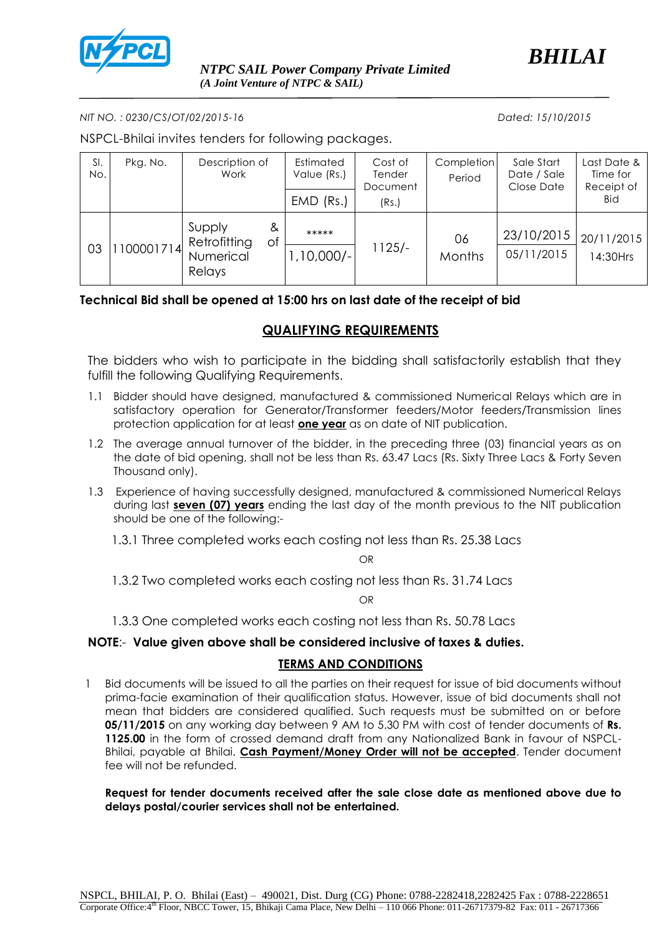

*BHILAI*

*NIT NO. : 0230/CS/OT/02/2015-16 Dated: 15/10/2015*

NSPCL-Bhilai invites tenders for following packages.

| SI.<br>No. | Pkg. No.  | Description of<br>Work                                   | Estimated<br>Value (Rs.)<br>$EMD$ (Rs.) | Cost of<br>Tender<br>Document<br>(Rs.) | Completion<br>Period | Sale Start<br>Date / Sale<br>Close Date | Last Date &<br>Time for<br>Receipt of<br><b>Bid</b> |
|------------|-----------|----------------------------------------------------------|-----------------------------------------|----------------------------------------|----------------------|-----------------------------------------|-----------------------------------------------------|
| 03         | 100001714 | Supply<br>&<br>Retrofitting<br>Оf<br>Numerical<br>Relays | *****<br>$1,10,000/-$                   | $1125/-$                               | 06<br><b>Months</b>  | 23/10/2015<br>05/11/2015                | 20/11/2015<br>14:30Hrs                              |

### **Technical Bid shall be opened at 15:00 hrs on last date of the receipt of bid**

# **QUALIFYING REQUIREMENTS**

The bidders who wish to participate in the bidding shall satisfactorily establish that they fulfill the following Qualifying Requirements.

- 1.1 Bidder should have designed, manufactured & commissioned Numerical Relays which are in satisfactory operation for Generator/Transformer feeders/Motor feeders/Transmission lines protection application for at least **one year** as on date of NIT publication.
- 1.2 The average annual turnover of the bidder, in the preceding three (03) financial years as on the date of bid opening, shall not be less than Rs. 63.47 Lacs (Rs. Sixty Three Lacs & Forty Seven Thousand only).
- 1.3 Experience of having successfully designed, manufactured & commissioned Numerical Relays during last **seven (07) years** ending the last day of the month previous to the NIT publication should be one of the following:-

1.3.1 Three completed works each costing not less than Rs. 25.38 Lacs

OR

1.3.2 Two completed works each costing not less than Rs. 31.74 Lacs

OR

1.3.3 One completed works each costing not less than Rs. 50.78 Lacs

### **NOTE**:- **Value given above shall be considered inclusive of taxes & duties.**

### **TERMS AND CONDITIONS**

1 Bid documents will be issued to all the parties on their request for issue of bid documents without prima-facie examination of their qualification status. However, issue of bid documents shall not mean that bidders are considered qualified. Such requests must be submitted on or before **05/11/2015** on any working day between 9 AM to 5.30 PM with cost of tender documents of **Rs. 1125.00** in the form of crossed demand draft from any Nationalized Bank in favour of NSPCL-Bhilai, payable at Bhilai. **Cash Payment/Money Order will not be accepted**. Tender document fee will not be refunded.

**Request for tender documents received after the sale close date as mentioned above due to delays postal/courier services shall not be entertained.**